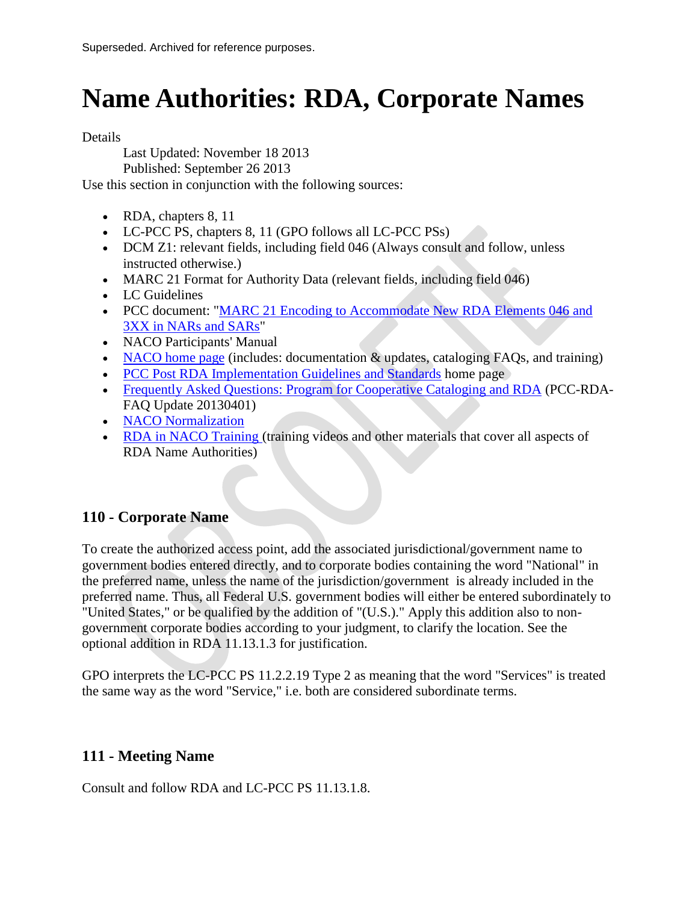# **Name Authorities: RDA, Corporate Names**

Details

Last Updated: November 18 2013

Published: September 26 2013

Use this section in conjunction with the following sources:

- RDA, chapters 8, 11
- LC-PCC PS, chapters 8, 11 (GPO follows all LC-PCC PSs)
- DCM Z1: relevant fields, including field 046 (Always consult and follow, unless instructed otherwise.)
- MARC 21 Format for Authority Data (relevant fields, including field 046)
- LC Guidelines
- PCC document: "MARC 21 Encoding to Accommodate New RDA Elements 046 and [3XX in NARs and SARs"](http://loc.gov/aba/pcc/rda/PCC%20RDA%20guidelines/RDA%20in%20NARs-SARs_PCC.pdf)
- NACO Participants' Manual
- [NACO home page](http://www.loc.gov/aba/pcc/naco/index.html) (includes: documentation  $\&$  updates, cataloging FAQs, and training)
- [PCC Post RDA Implementation Guidelines and Standards](http://www.loc.gov/aba/pcc/rda/PCC%20RDA%20guidelines/Post-RDA-Implementation-Guidelines.html) home page
- [Frequently Asked Questions: Program for Cooperative Cataloging and RDA](http://www.loc.gov/aba/pcc/rda/PCC-RDA-FAQ%20Update%2020130401.doc) (PCC-RDA-FAQ Update 20130401)
- [NACO Normalization](http://www.loc.gov/aba/pcc/naco/Normalization.html)
- [RDA in NACO Training \(](http://www.loc.gov/catworkshop/courses/rda_naco/course%20table.html)training videos and other materials that cover all aspects of RDA Name Authorities)

# **110 - Corporate Name**

To create the authorized access point, add the associated jurisdictional/government name to government bodies entered directly, and to corporate bodies containing the word "National" in the preferred name, unless the name of the jurisdiction/government is already included in the preferred name. Thus, all Federal U.S. government bodies will either be entered subordinately to "United States," or be qualified by the addition of "(U.S.)." Apply this addition also to nongovernment corporate bodies according to your judgment, to clarify the location. See the optional addition in RDA 11.13.1.3 for justification.

GPO interprets the LC-PCC PS 11.2.2.19 Type 2 as meaning that the word "Services" is treated the same way as the word "Service," i.e. both are considered subordinate terms.

# **111 - Meeting Name**

Consult and follow RDA and LC-PCC PS 11.13.1.8.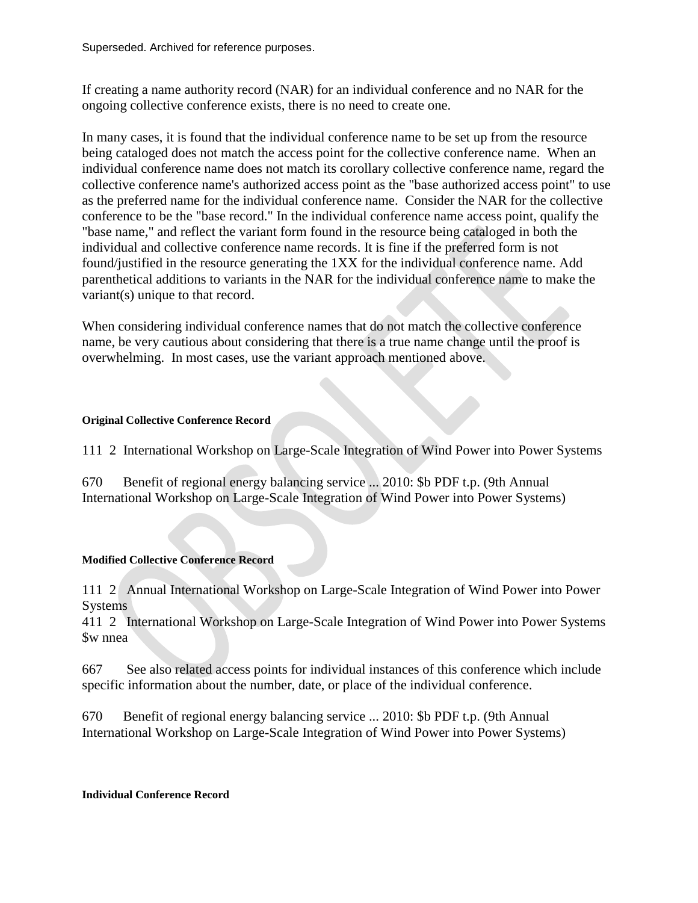If creating a name authority record (NAR) for an individual conference and no NAR for the ongoing collective conference exists, there is no need to create one.

In many cases, it is found that the individual conference name to be set up from the resource being cataloged does not match the access point for the collective conference name. When an individual conference name does not match its corollary collective conference name, regard the collective conference name's authorized access point as the "base authorized access point" to use as the preferred name for the individual conference name. Consider the NAR for the collective conference to be the "base record." In the individual conference name access point, qualify the "base name," and reflect the variant form found in the resource being cataloged in both the individual and collective conference name records. It is fine if the preferred form is not found/justified in the resource generating the 1XX for the individual conference name. Add parenthetical additions to variants in the NAR for the individual conference name to make the variant(s) unique to that record.

When considering individual conference names that do not match the collective conference name, be very cautious about considering that there is a true name change until the proof is overwhelming. In most cases, use the variant approach mentioned above.

#### **Original Collective Conference Record**

111 2 International Workshop on Large-Scale Integration of Wind Power into Power Systems

670 Benefit of regional energy balancing service ... 2010: \$b PDF t.p. (9th Annual International Workshop on Large-Scale Integration of Wind Power into Power Systems)

#### **Modified Collective Conference Record**

111 2 Annual International Workshop on Large-Scale Integration of Wind Power into Power **Systems** 

411 2 International Workshop on Large-Scale Integration of Wind Power into Power Systems \$w nnea

667 See also related access points for individual instances of this conference which include specific information about the number, date, or place of the individual conference.

670 Benefit of regional energy balancing service ... 2010: \$b PDF t.p. (9th Annual International Workshop on Large-Scale Integration of Wind Power into Power Systems)

#### **Individual Conference Record**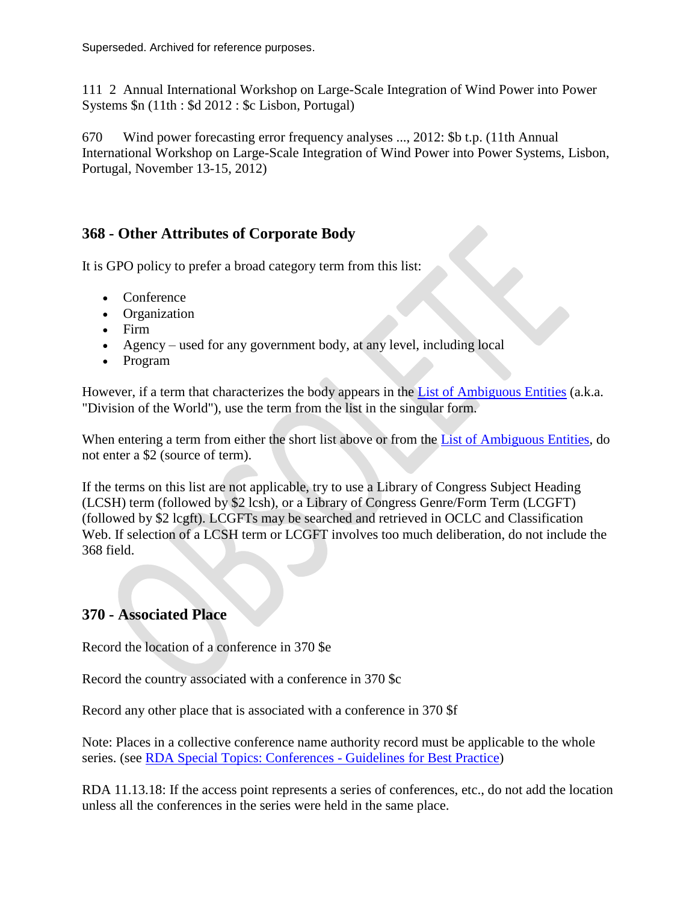111 2 Annual International Workshop on Large-Scale Integration of Wind Power into Power Systems \$n (11th : \$d 2012 : \$c Lisbon, Portugal)

670 Wind power forecasting error frequency analyses ..., 2012: \$b t.p. (11th Annual International Workshop on Large-Scale Integration of Wind Power into Power Systems, Lisbon, Portugal, November 13-15, 2012)

# **368 - Other Attributes of Corporate Body**

It is GPO policy to prefer a broad category term from this list:

- Conference
- Organization
- Firm
- Agency used for any government body, at any level, including local
- Program

However, if a term that characterizes the body appears in the [List of Ambiguous Entities](http://www.loc.gov/aba/pcc/saco/alpha405.html) (a.k.a. "Division of the World"), use the term from the list in the singular form.

When entering a term from either the short list above or from the [List of Ambiguous Entities,](http://www.loc.gov/aba/pcc/saco/alpha405.html) do not enter a \$2 (source of term).

If the terms on this list are not applicable, try to use a Library of Congress Subject Heading (LCSH) term (followed by \$2 lcsh), or a Library of Congress Genre/Form Term (LCGFT) (followed by \$2 lcgft). LCGFTs may be searched and retrieved in OCLC and Classification Web. If selection of a LCSH term or LCGFT involves too much deliberation, do not include the 368 field.

# **370 - Associated Place**

Record the location of a conference in 370 \$e

Record the country associated with a conference in 370 \$c

Record any other place that is associated with a conference in 370 \$f

Note: Places in a collective conference name authority record must be applicable to the whole series. (see [RDA Special Topics: Conferences -](http://www.loc.gov/aba/rda/source/special_topics_conferences.ppt) Guidelines for Best Practice)

RDA 11.13.18: If the access point represents a series of conferences, etc., do not add the location unless all the conferences in the series were held in the same place.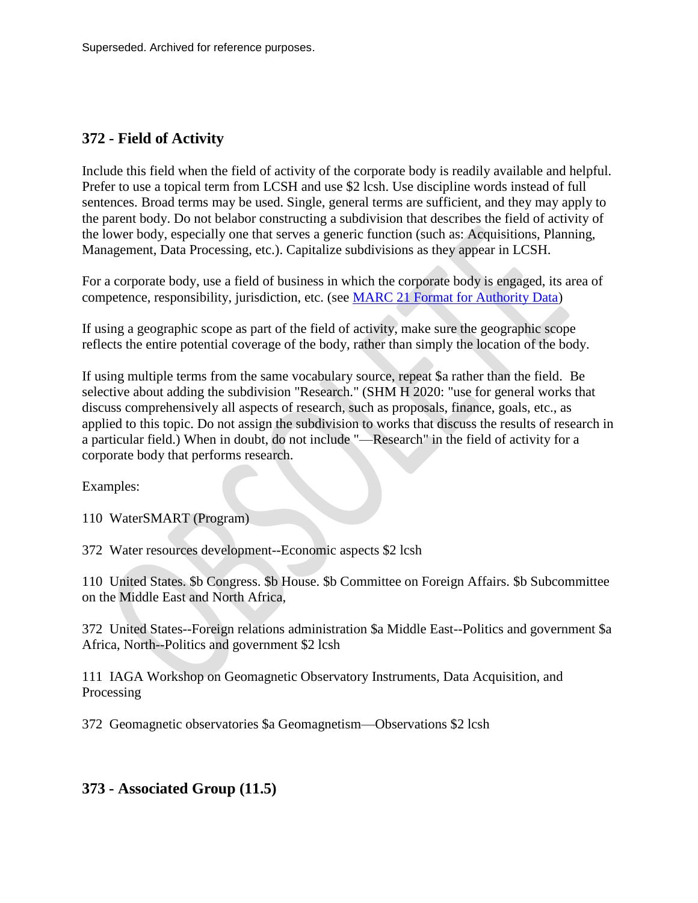# **372 - Field of Activity**

Include this field when the field of activity of the corporate body is readily available and helpful. Prefer to use a topical term from LCSH and use \$2 lcsh. Use discipline words instead of full sentences. Broad terms may be used. Single, general terms are sufficient, and they may apply to the parent body. Do not belabor constructing a subdivision that describes the field of activity of the lower body, especially one that serves a generic function (such as: Acquisitions, Planning, Management, Data Processing, etc.). Capitalize subdivisions as they appear in LCSH.

For a corporate body, use a field of business in which the corporate body is engaged, its area of competence, responsibility, jurisdiction, etc. (see [MARC 21 Format for Authority Data\)](http://www.loc.gov/marc/authority/)

If using a geographic scope as part of the field of activity, make sure the geographic scope reflects the entire potential coverage of the body, rather than simply the location of the body.

If using multiple terms from the same vocabulary source, repeat \$a rather than the field. Be selective about adding the subdivision "Research." (SHM H 2020: "use for general works that discuss comprehensively all aspects of research, such as proposals, finance, goals, etc., as applied to this topic. Do not assign the subdivision to works that discuss the results of research in a particular field.) When in doubt, do not include "—Research" in the field of activity for a corporate body that performs research.

Examples:

110 WaterSMART (Program)

372 Water resources development--Economic aspects \$2 lcsh

110 United States. \$b Congress. \$b House. \$b Committee on Foreign Affairs. \$b Subcommittee on the Middle East and North Africa,

372 United States--Foreign relations administration \$a Middle East--Politics and government \$a Africa, North--Politics and government \$2 lcsh

111 IAGA Workshop on Geomagnetic Observatory Instruments, Data Acquisition, and Processing

372 Geomagnetic observatories \$a Geomagnetism—Observations \$2 lcsh

## **373 - Associated Group (11.5)**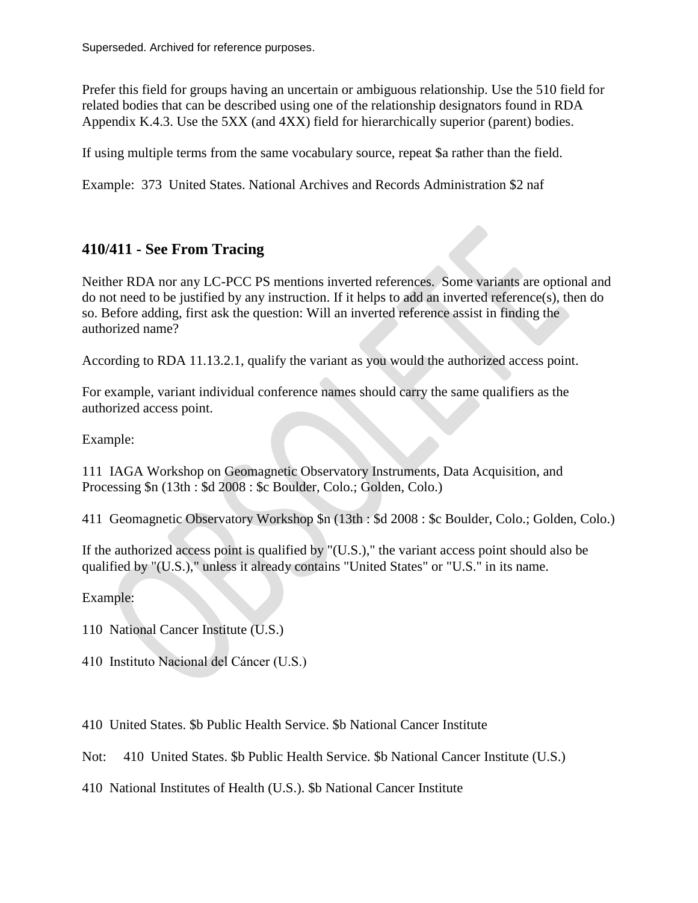Prefer this field for groups having an uncertain or ambiguous relationship. Use the 510 field for related bodies that can be described using one of the relationship designators found in RDA Appendix K.4.3. Use the 5XX (and 4XX) field for hierarchically superior (parent) bodies.

If using multiple terms from the same vocabulary source, repeat \$a rather than the field.

Example: 373 United States. National Archives and Records Administration \$2 naf

# **410/411 - See From Tracing**

Neither RDA nor any LC-PCC PS mentions inverted references. Some variants are optional and do not need to be justified by any instruction. If it helps to add an inverted reference(s), then do so. Before adding, first ask the question: Will an inverted reference assist in finding the authorized name?

According to RDA 11.13.2.1, qualify the variant as you would the authorized access point.

For example, variant individual conference names should carry the same qualifiers as the authorized access point.

Example:

111 IAGA Workshop on Geomagnetic Observatory Instruments, Data Acquisition, and Processing \$n (13th : \$d 2008 : \$c Boulder, Colo.; Golden, Colo.)

411 Geomagnetic Observatory Workshop \$n (13th : \$d 2008 : \$c Boulder, Colo.; Golden, Colo.)

If the authorized access point is qualified by "(U.S.)," the variant access point should also be qualified by "(U.S.)," unless it already contains "United States" or "U.S." in its name.

Example:

- 110 National Cancer Institute (U.S.)
- 410 Instituto Nacional del Cáncer (U.S.)
- 410 United States. \$b Public Health Service. \$b National Cancer Institute

Not: 410 United States. \$b Public Health Service. \$b National Cancer Institute (U.S.)

410 National Institutes of Health (U.S.). \$b National Cancer Institute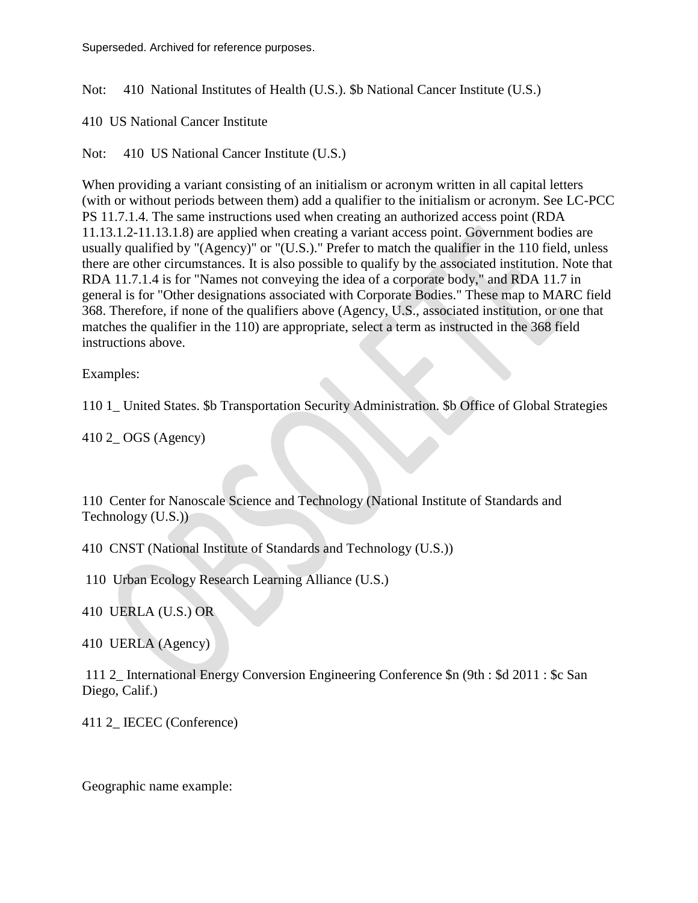Not: 410 National Institutes of Health (U.S.). \$b National Cancer Institute (U.S.)

410 US National Cancer Institute

Not: 410 US National Cancer Institute (U.S.)

When providing a variant consisting of an initialism or acronym written in all capital letters (with or without periods between them) add a qualifier to the initialism or acronym. See LC-PCC PS 11.7.1.4. The same instructions used when creating an authorized access point (RDA 11.13.1.2-11.13.1.8) are applied when creating a variant access point. Government bodies are usually qualified by "(Agency)" or "(U.S.)." Prefer to match the qualifier in the 110 field, unless there are other circumstances. It is also possible to qualify by the associated institution. Note that RDA 11.7.1.4 is for "Names not conveying the idea of a corporate body," and RDA 11.7 in general is for "Other designations associated with Corporate Bodies." These map to MARC field 368. Therefore, if none of the qualifiers above (Agency, U.S., associated institution, or one that matches the qualifier in the 110) are appropriate, select a term as instructed in the 368 field instructions above.

Examples:

110 1\_ United States. \$b Transportation Security Administration. \$b Office of Global Strategies

410 2\_ OGS (Agency)

110 Center for Nanoscale Science and Technology (National Institute of Standards and Technology (U.S.))

410 CNST (National Institute of Standards and Technology (U.S.))

110 Urban Ecology Research Learning Alliance (U.S.)

410 UERLA (U.S.) OR

410 UERLA (Agency)

111 2\_ International Energy Conversion Engineering Conference \$n (9th : \$d 2011 : \$c San Diego, Calif.)

411 2 **IECEC** (Conference)

Geographic name example: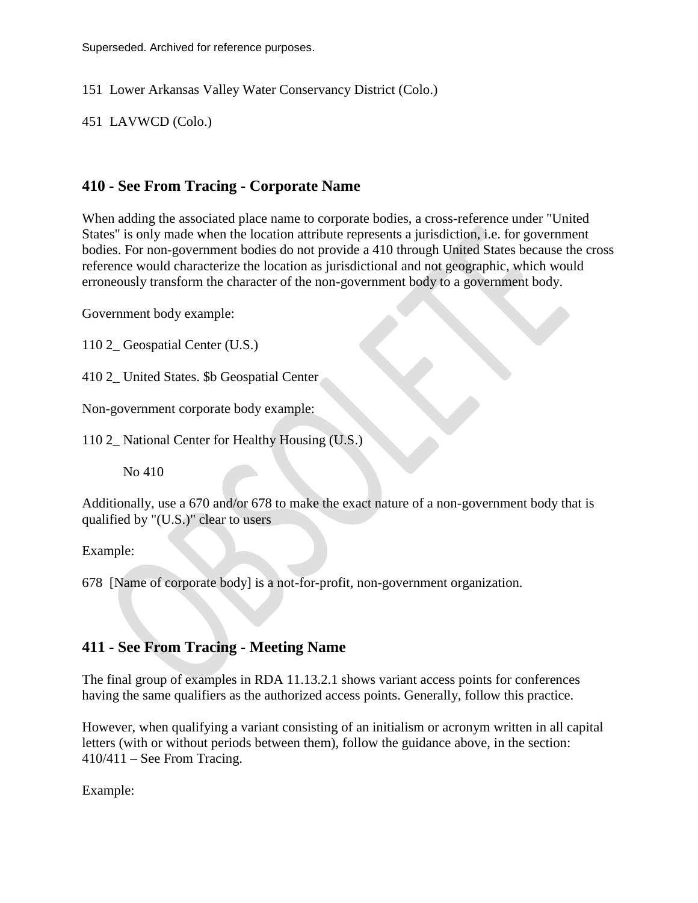151 Lower Arkansas Valley Water Conservancy District (Colo.)

451 LAVWCD (Colo.)

# **410 - See From Tracing - Corporate Name**

When adding the associated place name to corporate bodies, a cross-reference under "United States" is only made when the location attribute represents a jurisdiction, i.e. for government bodies. For non-government bodies do not provide a 410 through United States because the cross reference would characterize the location as jurisdictional and not geographic, which would erroneously transform the character of the non-government body to a government body.

Government body example:

110 2\_ Geospatial Center (U.S.)

410 2 United States. \$b Geospatial Center.

Non-government corporate body example:

110 2\_ National Center for Healthy Housing (U.S.)

No 410

Additionally, use a 670 and/or 678 to make the exact nature of a non-government body that is qualified by "(U.S.)" clear to users

Example:

678 [Name of corporate body] is a not-for-profit, non-government organization.

## **411 - See From Tracing - Meeting Name**

The final group of examples in RDA 11.13.2.1 shows variant access points for conferences having the same qualifiers as the authorized access points. Generally, follow this practice.

However, when qualifying a variant consisting of an initialism or acronym written in all capital letters (with or without periods between them), follow the guidance above, in the section:  $410/411$  – See From Tracing.

Example: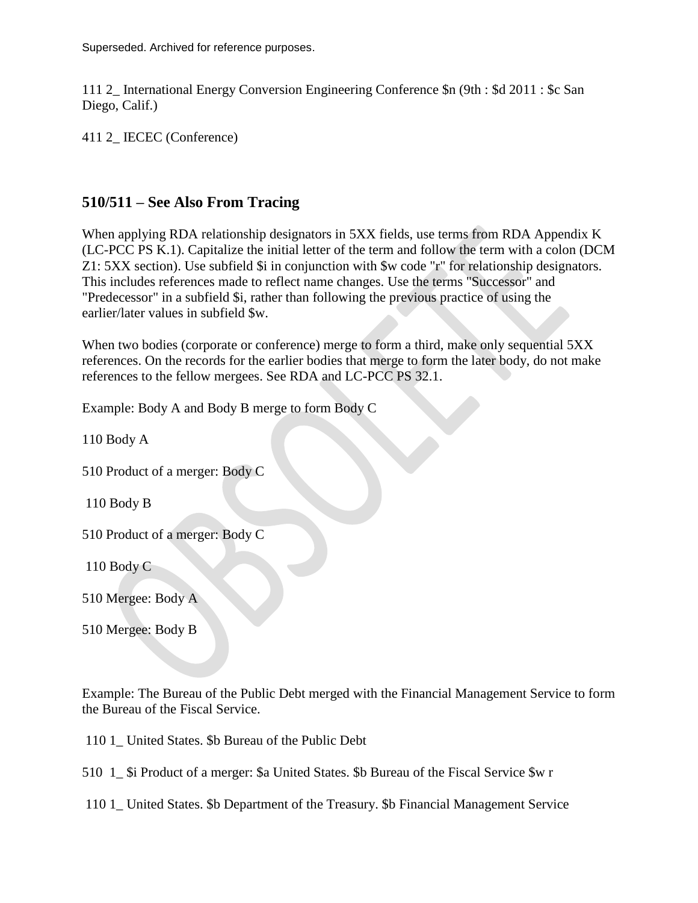111 2\_ International Energy Conversion Engineering Conference \$n (9th : \$d 2011 : \$c San Diego, Calif.)

411 2\_ IECEC (Conference)

#### **510/511 – See Also From Tracing**

When applying RDA relationship designators in 5XX fields, use terms from RDA Appendix K (LC-PCC PS K.1). Capitalize the initial letter of the term and follow the term with a colon (DCM Z1: 5XX section). Use subfield \$i in conjunction with \$w code "r" for relationship designators. This includes references made to reflect name changes. Use the terms "Successor" and "Predecessor" in a subfield \$i, rather than following the previous practice of using the earlier/later values in subfield \$w.

When two bodies (corporate or conference) merge to form a third, make only sequential 5XX references. On the records for the earlier bodies that merge to form the later body, do not make references to the fellow mergees. See RDA and LC-PCC PS 32.1.

Example: Body A and Body B merge to form Body C

110 Body A

510 Product of a merger: Body C

110 Body B

510 Product of a merger: Body C

110 Body C

510 Mergee: Body A

510 Mergee: Body B

Example: The Bureau of the Public Debt merged with the Financial Management Service to form the Bureau of the Fiscal Service.

110 1 United States. \$b Bureau of the Public Debt

510 1 Si Product of a merger: \$a United States. \$b Bureau of the Fiscal Service \$w r

110 1\_ United States. \$b Department of the Treasury. \$b Financial Management Service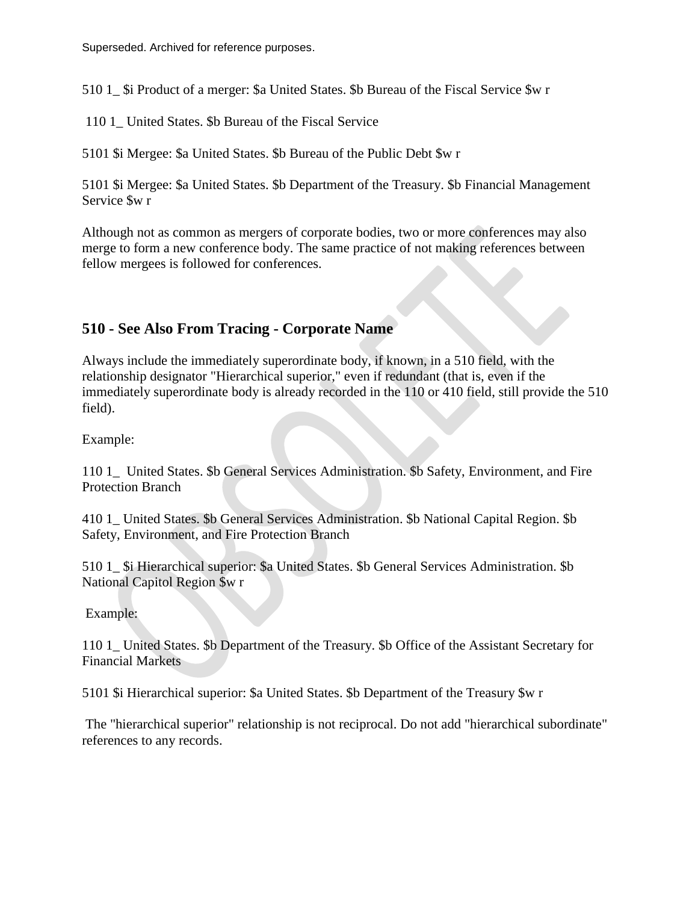510 1 Si Product of a merger: \$a United States. \$b Bureau of the Fiscal Service \$w r

110 1\_ United States. \$b Bureau of the Fiscal Service

5101 \$i Mergee: \$a United States. \$b Bureau of the Public Debt \$w r

5101 \$i Mergee: \$a United States. \$b Department of the Treasury. \$b Financial Management Service \$w r

Although not as common as mergers of corporate bodies, two or more conferences may also merge to form a new conference body. The same practice of not making references between fellow mergees is followed for conferences.

# **510 - See Also From Tracing - Corporate Name**

Always include the immediately superordinate body, if known, in a 510 field, with the relationship designator "Hierarchical superior," even if redundant (that is, even if the immediately superordinate body is already recorded in the 110 or 410 field, still provide the 510 field).

Example:

110 1\_ United States. \$b General Services Administration. \$b Safety, Environment, and Fire Protection Branch

410 1\_ United States. \$b General Services Administration. \$b National Capital Region. \$b Safety, Environment, and Fire Protection Branch

510 1 Si Hierarchical superior: \$a United States. \$b General Services Administration. \$b National Capitol Region \$w r

Example:

110 1\_ United States. \$b Department of the Treasury. \$b Office of the Assistant Secretary for Financial Markets

5101 \$i Hierarchical superior: \$a United States. \$b Department of the Treasury \$w r

The "hierarchical superior" relationship is not reciprocal. Do not add "hierarchical subordinate" references to any records.